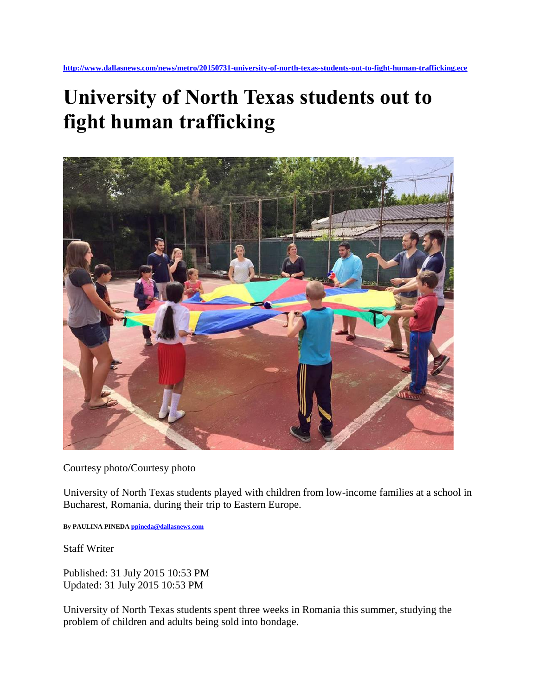## **University of North Texas students out to fight human trafficking**



Courtesy photo/Courtesy photo

University of North Texas students played with children from low-income families at a school in Bucharest, Romania, during their trip to Eastern Europe.

**By PAULINA PINED[A ppineda@dallasnews.com](mailto:ppineda@dallasnews.com)**

Staff Writer

Published: 31 July 2015 10:53 PM Updated: 31 July 2015 10:53 PM

University of North Texas students spent three weeks in Romania this summer, studying the problem of children and adults being sold into bondage.